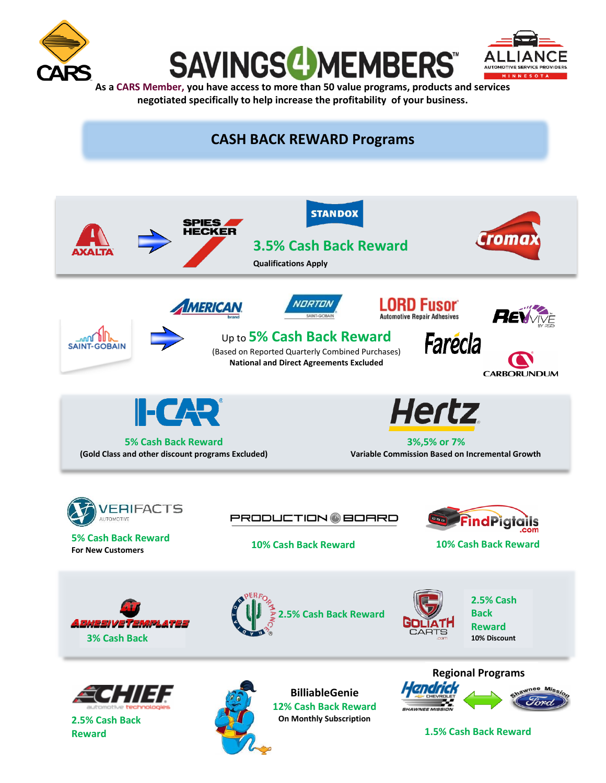

**Reward**





**[A](http://www.cars.coop)s a CARS Member, you have access to more than 50 value programs, products and services negotiated specifically to help increase the profitability of your business.**



 **1.5% Cash Back Reward**